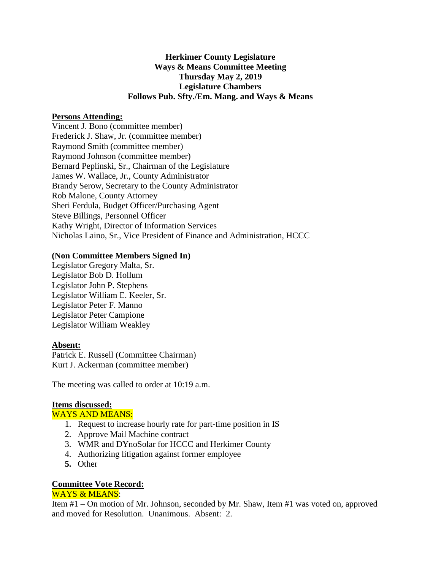# **Herkimer County Legislature Ways & Means Committee Meeting Thursday May 2, 2019 Legislature Chambers Follows Pub. Sfty./Em. Mang. and Ways & Means**

# **Persons Attending:**

Vincent J. Bono (committee member) Frederick J. Shaw, Jr. (committee member) Raymond Smith (committee member) Raymond Johnson (committee member) Bernard Peplinski, Sr., Chairman of the Legislature James W. Wallace, Jr., County Administrator Brandy Serow, Secretary to the County Administrator Rob Malone, County Attorney Sheri Ferdula, Budget Officer/Purchasing Agent Steve Billings, Personnel Officer Kathy Wright, Director of Information Services Nicholas Laino, Sr., Vice President of Finance and Administration, HCCC

# **(Non Committee Members Signed In)**

Legislator Gregory Malta, Sr. Legislator Bob D. Hollum Legislator John P. Stephens Legislator William E. Keeler, Sr. Legislator Peter F. Manno Legislator Peter Campione Legislator William Weakley

# **Absent:**

Patrick E. Russell (Committee Chairman) Kurt J. Ackerman (committee member)

The meeting was called to order at 10:19 a.m.

# **Items discussed:**

# WAYS AND MEANS:

- 1. Request to increase hourly rate for part-time position in IS
- 2. Approve Mail Machine contract
- 3. WMR and DYnoSolar for HCCC and Herkimer County
- 4. Authorizing litigation against former employee
- **5.** Other

# **Committee Vote Record:**

# WAYS & MEANS:

Item #1 – On motion of Mr. Johnson, seconded by Mr. Shaw, Item #1 was voted on, approved and moved for Resolution. Unanimous. Absent: 2.